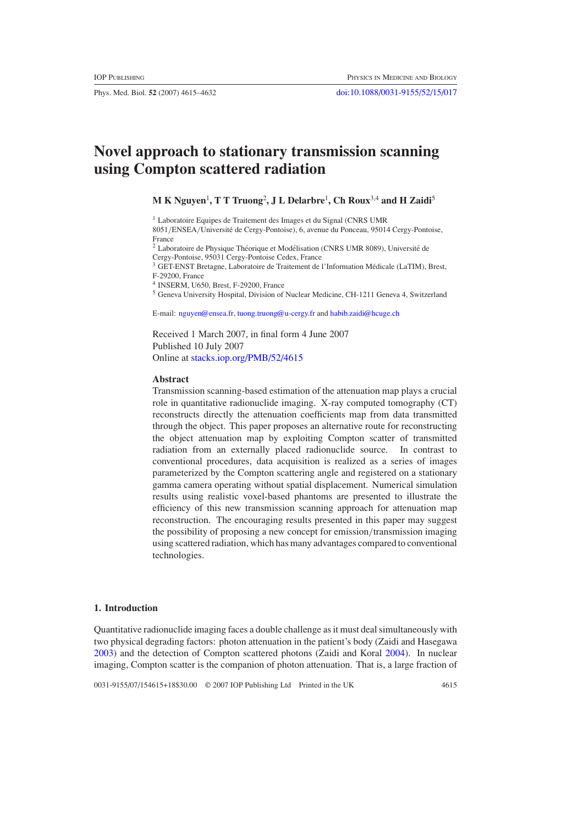Phys. Med. Biol. **52** (2007) 4615–4632 [doi:10.1088/0031-9155/52/15/017](http://dx.doi.org/10.1088/0031-9155/52/15/017)

# **Novel approach to stationary transmission scanning using Compton scattered radiation**

**M K Nguyen**<sup>1</sup> **, T T Truong**<sup>2</sup> **, J L Delarbre**<sup>1</sup> **, Ch Roux**3,4 **and H Zaidi**<sup>5</sup>

<sup>1</sup> Laboratoire Equipes de Traitement des Images et du Signal (CNRS UMR

8051*/*ENSEA*/*Universite de Cergy-Pontoise), 6, avenue du Ponceau, 95014 Cergy-Pontoise, ´ France

 $2$  Laboratoire de Physique Théorique et Modélisation (CNRS UMR 8089), Université de Cergy-Pontoise, 95031 Cergy-Pontoise Cedex, France

<sup>3</sup> GET-ENST Bretagne, Laboratoire de Traitement de l'Information Medicale (LaTIM), Brest, ´ F-29200, France

<sup>4</sup> INSERM, U650, Brest, F-29200, France

<sup>5</sup> Geneva University Hospital, Division of Nuclear Medicine, CH-1211 Geneva 4, Switzerland

E-mail: [nguyen@ensea.fr,](mailto:nguyen@ensea.fr) [tuong.truong@u-cergy.fr](mailto:.truong@u-cergy.fr) and [habib.zaidi@hcuge.ch](mailto:habib.zaidi@hcuge.ch)

Received 1 March 2007, in final form 4 June 2007 Published 10 July 2007 Online at [stacks.iop.org/PMB/52/4615](http://stacks.iop.org/PMB/52/4615)

# **Abstract**

Transmission scanning-based estimation of the attenuation map plays a crucial role in quantitative radionuclide imaging. X-ray computed tomography (CT) reconstructs directly the attenuation coefficients map from data transmitted through the object. This paper proposes an alternative route for reconstructing the object attenuation map by exploiting Compton scatter of transmitted radiation from an externally placed radionuclide source. In contrast to conventional procedures, data acquisition is realized as a series of images parameterized by the Compton scattering angle and registered on a stationary gamma camera operating without spatial displacement. Numerical simulation results using realistic voxel-based phantoms are presented to illustrate the efficiency of this new transmission scanning approach for attenuation map reconstruction. The encouraging results presented in this paper may suggest the possibility of proposing a new concept for emission*/*transmission imaging using scattered radiation, which has many advantages compared to conventional technologies.

# **1. Introduction**

Quantitative radionuclide imaging faces a double challenge as it must deal simultaneously with two physical degrading factors: photon attenuation in the patient's body (Zaidi and Hasegawa [2003\)](#page-17-0) and the detection of Compton scattered photons (Zaidi and Koral [2004](#page-17-0)). In nuclear imaging, Compton scatter is the companion of photon attenuation. That is, a large fraction of

0031-9155/07/154615+18\$30.00 © 2007 IOP Publishing Ltd Printed in the UK 4615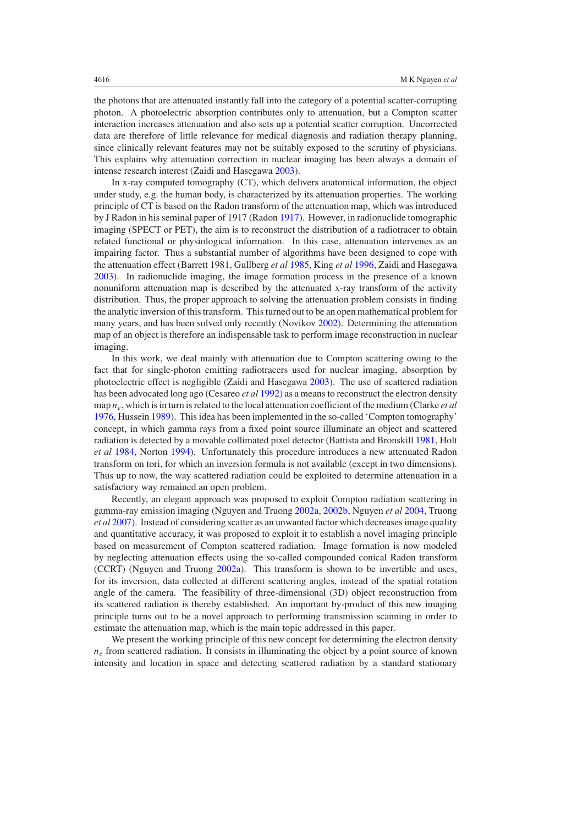the photons that are attenuated instantly fall into the category of a potential scatter-corrupting photon. A photoelectric absorption contributes only to attenuation, but a Compton scatter interaction increases attenuation and also sets up a potential scatter corruption. Uncorrected data are therefore of little relevance for medical diagnosis and radiation therapy planning, since clinically relevant features may not be suitably exposed to the scrutiny of physicians. This explains why attenuation correction in nuclear imaging has been always a domain of intense research interest (Zaidi and Hasegawa [2003\)](#page-17-0).

In x-ray computed tomography (CT), which delivers anatomical information, the object under study, e.g. the human body, is characterized by its attenuation properties. The working principle of CT is based on the Radon transform of the attenuation map, which was introduced by J Radon in his seminal paper of 1917 (Radon [1917](#page-17-0)). However, in radionuclide tomographic imaging (SPECT or PET), the aim is to reconstruct the distribution of a radiotracer to obtain related functional or physiological information. In this case, attenuation intervenes as an impairing factor. Thus a substantial number of algorithms have been designed to cope with the attenuation effect (Barrett 1981, Gullberg *et al* [1985,](#page-17-0) King *et al* [1996,](#page-17-0) Zaidi and Hasegawa [2003\)](#page-17-0). In radionuclide imaging, the image formation process in the presence of a known nonuniform attenuation map is described by the attenuated x-ray transform of the activity distribution. Thus, the proper approach to solving the attenuation problem consists in finding the analytic inversion of this transform. This turned out to be an open mathematical problem for many years, and has been solved only recently (Novikov [2002\)](#page-17-0). Determining the attenuation map of an object is therefore an indispensable task to perform image reconstruction in nuclear imaging.

In this work, we deal mainly with attenuation due to Compton scattering owing to the fact that for single-photon emitting radiotracers used for nuclear imaging, absorption by photoelectric effect is negligible (Zaidi and Hasegawa [2003](#page-17-0)). The use of scattered radiation has been advocated long ago (Cesareo *et al* [1992](#page-16-0)) as a means to reconstruct the electron density map *ne*, which is in turn is related to the local attenuation coefficient of the medium (Clarke *et al* [1976,](#page-16-0) Hussein [1989](#page-17-0)). This idea has been implemented in the so-called 'Compton tomography' concept, in which gamma rays from a fixed point source illuminate an object and scattered radiation is detected by a movable collimated pixel detector (Battista and Bronskill [1981](#page-16-0), Holt *et al* [1984](#page-17-0), Norton [1994](#page-17-0)). Unfortunately this procedure introduces a new attenuated Radon transform on tori, for which an inversion formula is not available (except in two dimensions). Thus up to now, the way scattered radiation could be exploited to determine attenuation in a satisfactory way remained an open problem.

Recently, an elegant approach was proposed to exploit Compton radiation scattering in gamma-ray emission imaging (Nguyen and Truong [2002a](#page-17-0), [2002b,](#page-17-0) Nguyen *et al* [2004,](#page-17-0) Truong *et al* [2007](#page-17-0)). Instead of considering scatter as an unwanted factor which decreases image quality and quantitative accuracy, it was proposed to exploit it to establish a novel imaging principle based on measurement of Compton scattered radiation. Image formation is now modeled by neglecting attenuation effects using the so-called compounded conical Radon transform (CCRT) (Nguyen and Truong [2002a\)](#page-17-0). This transform is shown to be invertible and uses, for its inversion, data collected at different scattering angles, instead of the spatial rotation angle of the camera. The feasibility of three-dimensional (3D) object reconstruction from its scattered radiation is thereby established. An important by-product of this new imaging principle turns out to be a novel approach to performing transmission scanning in order to estimate the attenuation map, which is the main topic addressed in this paper.

We present the working principle of this new concept for determining the electron density  $n_e$  from scattered radiation. It consists in illuminating the object by a point source of known intensity and location in space and detecting scattered radiation by a standard stationary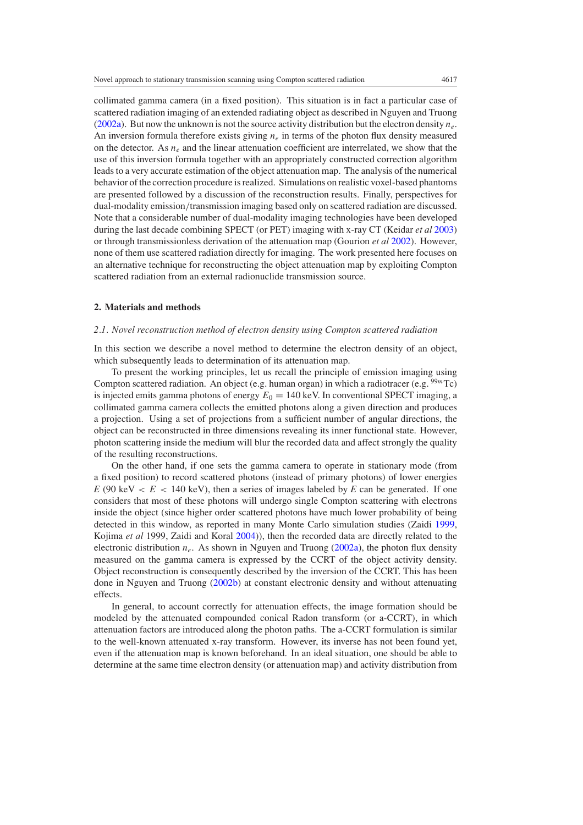collimated gamma camera (in a fixed position). This situation is in fact a particular case of scattered radiation imaging of an extended radiating object as described in Nguyen and Truong [\(2002a\)](#page-17-0). But now the unknown is not the source activity distribution but the electron density *ne*. An inversion formula therefore exists giving  $n_e$  in terms of the photon flux density measured on the detector. As  $n_e$  and the linear attenuation coefficient are interrelated, we show that the use of this inversion formula together with an appropriately constructed correction algorithm leads to a very accurate estimation of the object attenuation map. The analysis of the numerical behavior of the correction procedure is realized. Simulations on realistic voxel-based phantoms are presented followed by a discussion of the reconstruction results. Finally, perspectives for dual-modality emission*/*transmission imaging based only on scattered radiation are discussed. Note that a considerable number of dual-modality imaging technologies have been developed during the last decade combining SPECT (or PET) imaging with x-ray CT (Keidar *et al* [2003](#page-17-0)) or through transmissionless derivation of the attenuation map (Gourion *et al* [2002](#page-17-0)). However, none of them use scattered radiation directly for imaging. The work presented here focuses on an alternative technique for reconstructing the object attenuation map by exploiting Compton scattered radiation from an external radionuclide transmission source.

#### **2. Materials and methods**

# *2.1. Novel reconstruction method of electron density using Compton scattered radiation*

In this section we describe a novel method to determine the electron density of an object, which subsequently leads to determination of its attenuation map.

To present the working principles, let us recall the principle of emission imaging using Compton scattered radiation. An object (e.g. human organ) in which a radiotracer (e.g. <sup>99*m*</sup>Tc) is injected emits gamma photons of energy  $E_0 = 140$  keV. In conventional SPECT imaging, a collimated gamma camera collects the emitted photons along a given direction and produces a projection. Using a set of projections from a sufficient number of angular directions, the object can be reconstructed in three dimensions revealing its inner functional state. However, photon scattering inside the medium will blur the recorded data and affect strongly the quality of the resulting reconstructions.

On the other hand, if one sets the gamma camera to operate in stationary mode (from a fixed position) to record scattered photons (instead of primary photons) of lower energies  $E(90 \text{ keV} < E < 140 \text{ keV})$ , then a series of images labeled by *E* can be generated. If one considers that most of these photons will undergo single Compton scattering with electrons inside the object (since higher order scattered photons have much lower probability of being detected in this window, as reported in many Monte Carlo simulation studies (Zaidi [1999](#page-17-0), Kojima *et al* 1999, Zaidi and Koral [2004\)](#page-17-0)), then the recorded data are directly related to the electronic distribution *ne*. As shown in Nguyen and Truong [\(2002a\)](#page-17-0), the photon flux density measured on the gamma camera is expressed by the CCRT of the object activity density. Object reconstruction is consequently described by the inversion of the CCRT. This has been done in Nguyen and Truong [\(2002b\)](#page-17-0) at constant electronic density and without attenuating effects.

In general, to account correctly for attenuation effects, the image formation should be modeled by the attenuated compounded conical Radon transform (or a-CCRT), in which attenuation factors are introduced along the photon paths. The a-CCRT formulation is similar to the well-known attenuated x-ray transform. However, its inverse has not been found yet, even if the attenuation map is known beforehand. In an ideal situation, one should be able to determine at the same time electron density (or attenuation map) and activity distribution from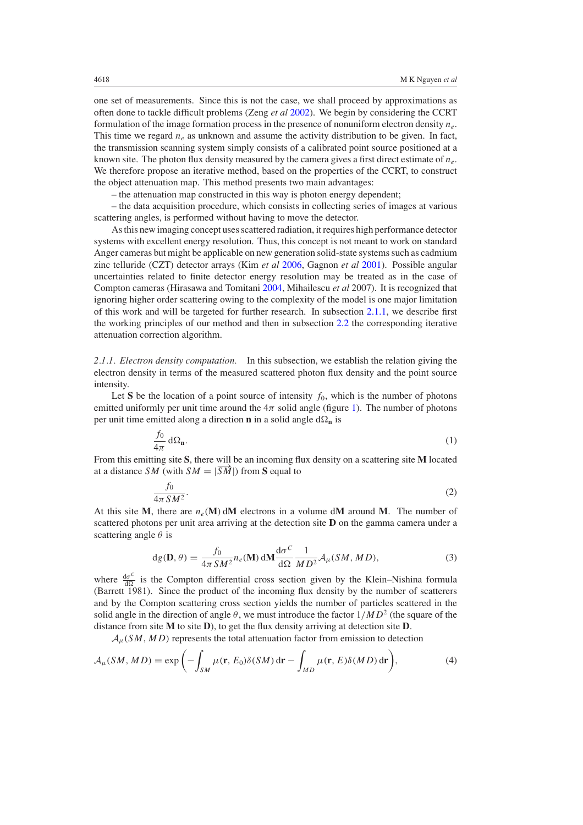<span id="page-3-0"></span>one set of measurements. Since this is not the case, we shall proceed by approximations as often done to tackle difficult problems (Zeng *et al* [2002](#page-17-0)). We begin by considering the CCRT formulation of the image formation process in the presence of nonuniform electron density *ne*. This time we regard  $n_e$  as unknown and assume the activity distribution to be given. In fact, the transmission scanning system simply consists of a calibrated point source positioned at a known site. The photon flux density measured by the camera gives a first direct estimate of *ne*. We therefore propose an iterative method, based on the properties of the CCRT, to construct the object attenuation map. This method presents two main advantages:

– the attenuation map constructed in this way is photon energy dependent;

– the data acquisition procedure, which consists in collecting series of images at various scattering angles, is performed without having to move the detector.

As this new imaging concept uses scattered radiation, it requires high performance detector systems with excellent energy resolution. Thus, this concept is not meant to work on standard Anger cameras but might be applicable on new generation solid-state systems such as cadmium zinc telluride (CZT) detector arrays (Kim *et al* [2006](#page-17-0), Gagnon *et al* [2001](#page-17-0)). Possible angular uncertainties related to finite detector energy resolution may be treated as in the case of Compton cameras (Hirasawa and Tomitani [2004,](#page-17-0) Mihailescu *et al* 2007). It is recognized that ignoring higher order scattering owing to the complexity of the model is one major limitation of this work and will be targeted for further research. In subsection 2.1.1, we describe first the working principles of our method and then in subsection [2.2](#page-4-0) the corresponding iterative attenuation correction algorithm.

*2.1.1. Electron density computation.* In this subsection, we establish the relation giving the electron density in terms of the measured scattered photon flux density and the point source intensity.

Let S be the location of a point source of intensity  $f_0$ , which is the number of photons emitted uniformly per unit time around the  $4\pi$  solid angle (figure [1\)](#page-4-0). The number of photons per unit time emitted along a direction **n** in a solid angle  $d\Omega_n$  is

$$
\frac{f_0}{4\pi} \,\mathrm{d}\Omega_{\mathbf{n}}.\tag{1}
$$

From this emitting site **S**, there will be an incoming flux density on a scattering site **M** located at a distance *SM* (with  $SM = |\overrightarrow{SM}|$ ) from **S** equal to

$$
\frac{f_0}{4\pi\,SM^2}.\tag{2}
$$

At this site M, there are  $n_e(M)$  dM electrons in a volume dM around M. The number of scattered photons per unit area arriving at the detection site **D** on the gamma camera under a scattering angle *θ* is

$$
dg(\mathbf{D}, \theta) = \frac{f_0}{4\pi SM^2} n_e(\mathbf{M}) d\mathbf{M} \frac{d\sigma^C}{d\Omega} \frac{1}{MD^2} \mathcal{A}_{\mu}(SM, MD),
$$
 (3)

where  $\frac{d\sigma^C}{d\Omega}$  is the Compton differential cross section given by the Klein–Nishina formula (Barrett 1981). Since the product of the incoming flux density by the number of scatterers and by the Compton scattering cross section yields the number of particles scattered in the solid angle in the direction of angle  $\theta$ , we must introduce the factor  $1/MD^2$  (the square of the distance from site **M** to site **D**), to get the flux density arriving at detection site **D**.

 $A<sub>u</sub>(SM, MD)$  represents the total attenuation factor from emission to detection

$$
\mathcal{A}_{\mu}(SM, MD) = \exp\bigg(-\int_{SM} \mu(\mathbf{r}, E_0)\delta(SM) \, \mathrm{d}\mathbf{r} - \int_{MD} \mu(\mathbf{r}, E)\delta(MD) \, \mathrm{d}\mathbf{r}\bigg),\tag{4}
$$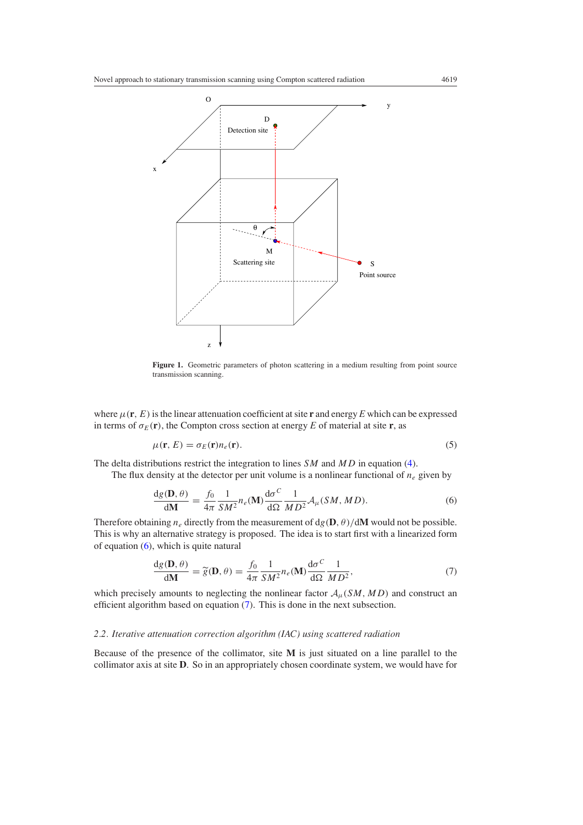<span id="page-4-0"></span>

Figure 1. Geometric parameters of photon scattering in a medium resulting from point source transmission scanning.

where  $\mu(\mathbf{r}, E)$  is the linear attenuation coefficient at site **r** and energy E which can be expressed in terms of  $\sigma_E(\mathbf{r})$ , the Compton cross section at energy *E* of material at site **r**, as

$$
\mu(\mathbf{r}, E) = \sigma_E(\mathbf{r}) n_e(\mathbf{r}). \tag{5}
$$

The delta distributions restrict the integration to lines *SM* and *MD* in equation [\(4\)](#page-3-0).

The flux density at the detector per unit volume is a nonlinear functional of  $n_e$  given by

$$
\frac{dg(\mathbf{D}, \theta)}{d\mathbf{M}} = \frac{f_0}{4\pi} \frac{1}{SM^2} n_e(\mathbf{M}) \frac{d\sigma^C}{d\Omega} \frac{1}{MD^2} \mathcal{A}_\mu(SM, MD).
$$
(6)

Therefore obtaining  $n_e$  directly from the measurement of  $dg(D, \theta)/dM$  would not be possible. This is why an alternative strategy is proposed. The idea is to start first with a linearized form of equation (6), which is quite natural

$$
\frac{dg(\mathbf{D}, \theta)}{d\mathbf{M}} = \widetilde{g}(\mathbf{D}, \theta) = \frac{f_0}{4\pi} \frac{1}{SM^2} n_e(\mathbf{M}) \frac{d\sigma^C}{d\Omega} \frac{1}{MD^2},\tag{7}
$$

which precisely amounts to neglecting the nonlinear factor  $A_\mu(SM, MD)$  and construct an efficient algorithm based on equation (7). This is done in the next subsection.

# *2.2. Iterative attenuation correction algorithm (IAC) using scattered radiation*

Because of the presence of the collimator, site **M** is just situated on a line parallel to the collimator axis at site **D**. So in an appropriately chosen coordinate system, we would have for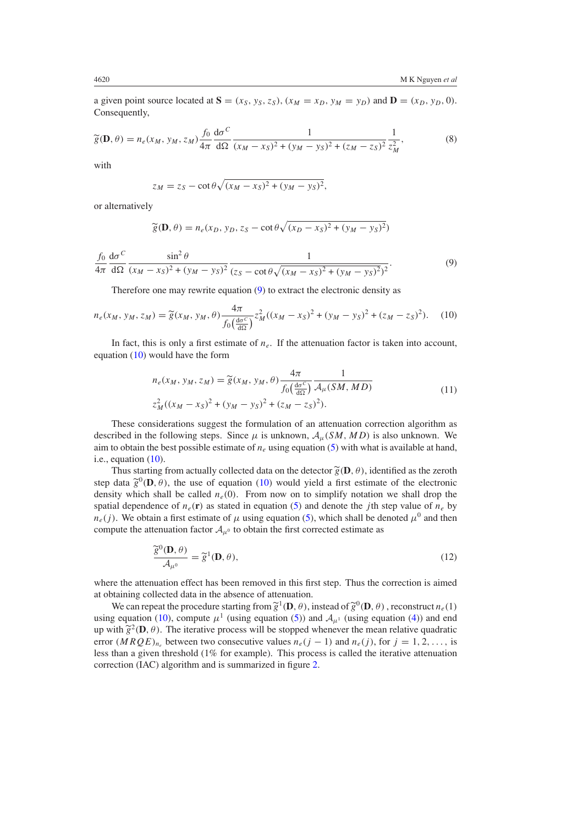<span id="page-5-0"></span>a given point source located at  $S = (x_S, y_S, z_S), (x_M = x_D, y_M = y_D)$  and  $D = (x_D, y_D, 0)$ . Consequently,

$$
\widetilde{g}(\mathbf{D}, \theta) = n_e(x_M, y_M, z_M) \frac{f_0}{4\pi} \frac{d\sigma^C}{d\Omega} \frac{1}{(x_M - x_S)^2 + (y_M - y_S)^2 + (z_M - z_S)^2} \frac{1}{z_M^2},
$$
(8)

with

$$
z_M = z_S - \cot \theta \sqrt{(x_M - x_S)^2 + (y_M - y_S)^2},
$$

or alternatively

$$
\widetilde{g}(\mathbf{D}, \theta) = n_e(x_D, y_D, z_S - \cot \theta \sqrt{(x_D - x_S)^2 + (y_M - y_S)^2})
$$

*f*0 4*π*  $d\sigma^C$  $d\Omega$  $\sin^2\theta$  $(x_M - x_S)^2 + (y_M - y_S)^2$ 1  $\sqrt{(z_S - \cot \theta \sqrt{(x_M - x_S)^2 + (y_M - y_S)^2})^2}$ *.* (9)

Therefore one may rewrite equation (9) to extract the electronic density as

$$
n_e(x_M, y_M, z_M) = \tilde{g}(x_M, y_M, \theta) \frac{4\pi}{f_0(\frac{d\sigma^C}{d\Omega})} z_M^2 ((x_M - x_S)^2 + (y_M - y_S)^2 + (z_M - z_S)^2). \tag{10}
$$

In fact, this is only a first estimate of  $n_e$ . If the attenuation factor is taken into account, equation (10) would have the form

$$
n_e(x_M, y_M, z_M) = \tilde{g}(x_M, y_M, \theta) \frac{4\pi}{f_0(\frac{d\sigma^C}{d\Omega})} \frac{1}{\mathcal{A}_\mu(SM, MD)}
$$
  

$$
z_M^2((x_M - x_S)^2 + (y_M - y_S)^2 + (z_M - z_S)^2).
$$
 (11)

These considerations suggest the formulation of an attenuation correction algorithm as described in the following steps. Since  $\mu$  is unknown,  $\mathcal{A}_{\mu}(SM, MD)$  is also unknown. We aim to obtain the best possible estimate of  $n_e$  using equation [\(5\)](#page-4-0) with what is available at hand, i.e., equation (10).

Thus starting from actually collected data on the detector  $\widetilde{g}(\mathbf{D}, \theta)$ , identified as the zeroth step data  $\tilde{g}^0(\mathbf{D}, \theta)$ , the use of equation (10) would yield a first estimate of the electronic density which shall be called  $n_e(0)$ . From now on to simplify notation we shall drop the spatial dependence of  $n_e(\mathbf{r})$  as stated in equation [\(5\)](#page-4-0) and denote the *j*th step value of  $n_e$  by  $n_e(j)$ . We obtain a first estimate of  $\mu$  using equation [\(5\)](#page-4-0), which shall be denoted  $\mu^0$  and then compute the attenuation factor  $A_{\mu^0}$  to obtain the first corrected estimate as

$$
\frac{\widetilde{g}^0(\mathbf{D}, \theta)}{\mathcal{A}_{\mu^0}} = \widetilde{g}^1(\mathbf{D}, \theta),\tag{12}
$$

where the attenuation effect has been removed in this first step. Thus the correction is aimed at obtaining collected data in the absence of attenuation.

We can repeat the procedure starting from  $\tilde{g}^1(\mathbf{D}, \theta)$ , instead of  $\tilde{g}^0(\mathbf{D}, \theta)$ , reconstruct  $n_e(1)$ using equation (10), compute  $\mu^1$  (using equation [\(5\)](#page-4-0)) and  $\mathcal{A}_{\mu^1}$  (using equation [\(4\)](#page-3-0)) and end up with  $\tilde{g}^2(\mathbf{D}, \theta)$ . The iterative process will be stopped whenever the mean relative quadratic error  $(MRQE)_{n_e}$  between two consecutive values  $n_e(j-1)$  and  $n_e(j)$ , for  $j = 1, 2, \ldots$ , is less than a given threshold (1% for example). This process is called the iterative attenuation correction (IAC) algorithm and is summarized in figure [2.](#page-6-0)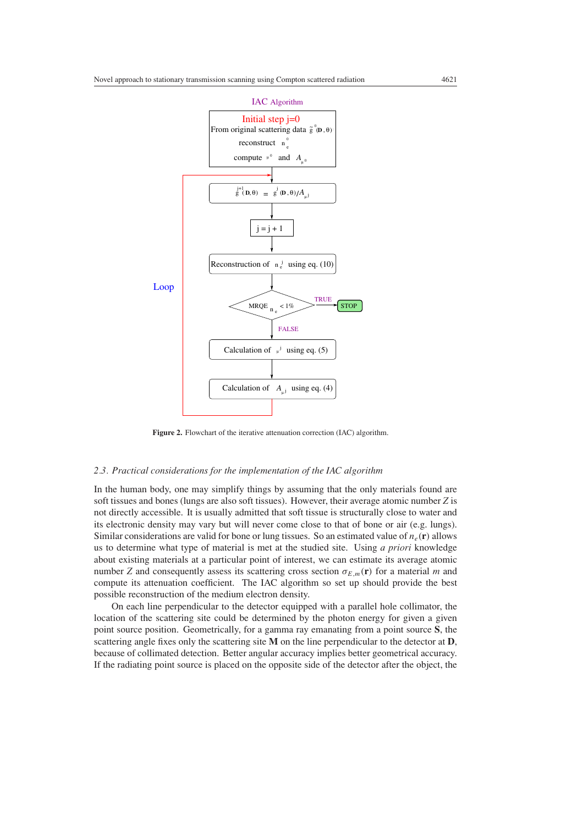<span id="page-6-0"></span>

Figure 2. Flowchart of the iterative attenuation correction (IAC) algorithm.

#### *2.3. Practical considerations for the implementation of the IAC algorithm*

In the human body, one may simplify things by assuming that the only materials found are soft tissues and bones (lungs are also soft tissues). However, their average atomic number *Z* is not directly accessible. It is usually admitted that soft tissue is structurally close to water and its electronic density may vary but will never come close to that of bone or air (e.g. lungs). Similar considerations are valid for bone or lung tissues. So an estimated value of  $n_e(\mathbf{r})$  allows us to determine what type of material is met at the studied site. Using *a priori* knowledge about existing materials at a particular point of interest, we can estimate its average atomic number *Z* and consequently assess its scattering cross section  $\sigma_{E,m}(\mathbf{r})$  for a material *m* and compute its attenuation coefficient. The IAC algorithm so set up should provide the best possible reconstruction of the medium electron density.

On each line perpendicular to the detector equipped with a parallel hole collimator, the location of the scattering site could be determined by the photon energy for given a given point source position. Geometrically, for a gamma ray emanating from a point source **S**, the scattering angle fixes only the scattering site **M** on the line perpendicular to the detector at **D**, because of collimated detection. Better angular accuracy implies better geometrical accuracy. If the radiating point source is placed on the opposite side of the detector after the object, the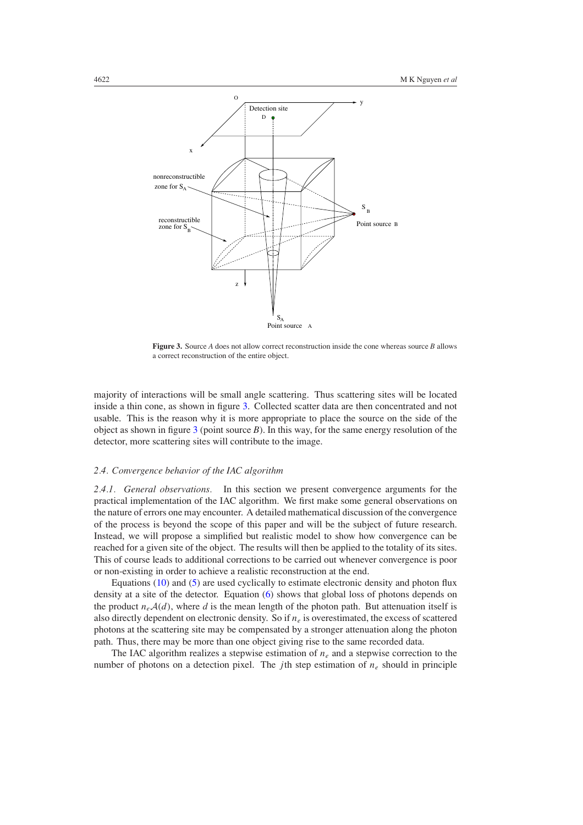

**Figure 3.** Source *A* does not allow correct reconstruction inside the cone whereas source *B* allows a correct reconstruction of the entire object.

majority of interactions will be small angle scattering. Thus scattering sites will be located inside a thin cone, as shown in figure 3. Collected scatter data are then concentrated and not usable. This is the reason why it is more appropriate to place the source on the side of the object as shown in figure 3 (point source *B*). In this way, for the same energy resolution of the detector, more scattering sites will contribute to the image.

## *2.4. Convergence behavior of the IAC algorithm*

2.4.1. *General observations*. In this section we present convergence arguments for the practical implementation of the IAC algorithm. We first make some general observations on the nature of errors one may encounter. A detailed mathematical discussion of the convergence of the process is beyond the scope of this paper and will be the subject of future research. Instead, we will propose a simplified but realistic model to show how convergence can be reached for a given site of the object. The results will then be applied to the totality of its sites. This of course leads to additional corrections to be carried out whenever convergence is poor or non-existing in order to achieve a realistic reconstruction at the end.

Equations [\(10\)](#page-5-0) and [\(5\)](#page-4-0) are used cyclically to estimate electronic density and photon flux density at a site of the detector. Equation [\(6\)](#page-4-0) shows that global loss of photons depends on the product  $n_eA(d)$ , where *d* is the mean length of the photon path. But attenuation itself is also directly dependent on electronic density. So if *ne* is overestimated, the excess of scattered photons at the scattering site may be compensated by a stronger attenuation along the photon path. Thus, there may be more than one object giving rise to the same recorded data.

The IAC algorithm realizes a stepwise estimation of  $n_e$  and a stepwise correction to the number of photons on a detection pixel. The *j*th step estimation of  $n_e$  should in principle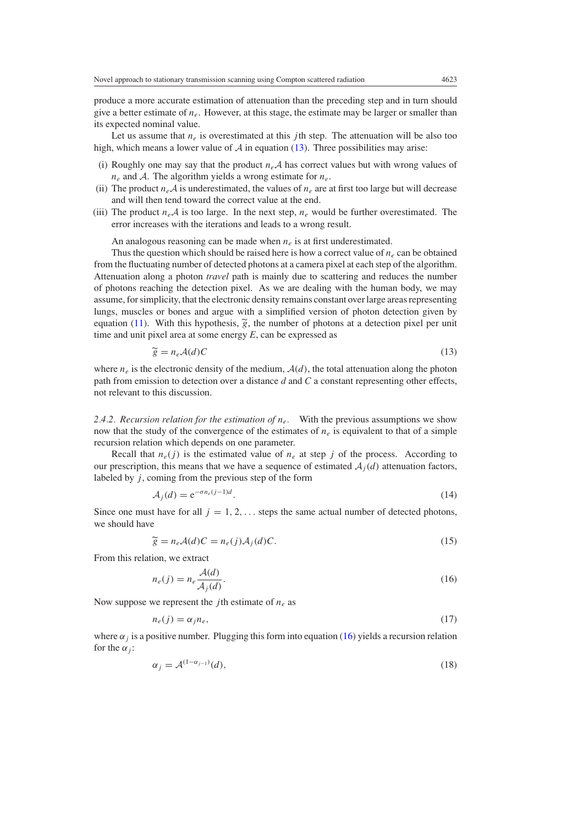<span id="page-8-0"></span>produce a more accurate estimation of attenuation than the preceding step and in turn should give a better estimate of  $n_e$ . However, at this stage, the estimate may be larger or smaller than its expected nominal value.

Let us assume that  $n_e$  is overestimated at this *j*th step. The attenuation will be also too high, which means a lower value of  $A$  in equation (13). Three possibilities may arise:

- (i) Roughly one may say that the product  $n_e\mathcal{A}$  has correct values but with wrong values of *ne* and A. The algorithm yields a wrong estimate for *ne*.
- (ii) The product  $n_e A$  is underestimated, the values of  $n_e$  are at first too large but will decrease and will then tend toward the correct value at the end.
- (iii) The product  $n_eA$  is too large. In the next step,  $n_e$  would be further overestimated. The error increases with the iterations and leads to a wrong result.

An analogous reasoning can be made when  $n_e$  is at first underestimated.

Thus the question which should be raised here is how a correct value of  $n_e$  can be obtained from the fluctuating number of detected photons at a camera pixel at each step of the algorithm. Attenuation along a photon *travel* path is mainly due to scattering and reduces the number of photons reaching the detection pixel. As we are dealing with the human body, we may assume, for simplicity, that the electronic density remains constant over large areas representing lungs, muscles or bones and argue with a simplified version of photon detection given by equation [\(11\)](#page-5-0). With this hypothesis,  $\tilde{g}$ , the number of photons at a detection pixel per unit time and unit pixel area at some energy *E*, can be expressed as

$$
\widetilde{g} = n_e A(d)C \tag{13}
$$

where  $n_e$  is the electronic density of the medium,  $A(d)$ , the total attenuation along the photon path from emission to detection over a distance *d* and *C* a constant representing other effects, not relevant to this discussion.

*2.4.2. Recursion relation for the estimation of ne.* With the previous assumptions we show now that the study of the convergence of the estimates of  $n_e$  is equivalent to that of a simple recursion relation which depends on one parameter.

Recall that  $n_e(j)$  is the estimated value of  $n_e$  at step *j* of the process. According to our prescription, this means that we have a sequence of estimated  $A_i(d)$  attenuation factors, labeled by *j*, coming from the previous step of the form

$$
\mathcal{A}_j(d) = e^{-\sigma n_e(j-1)d}.\tag{14}
$$

Since one must have for all  $j = 1, 2, \ldots$  steps the same actual number of detected photons, we should have

$$
\widetilde{g} = n_e \mathcal{A}(d)C = n_e(j)\mathcal{A}_j(d)C. \tag{15}
$$

From this relation, we extract

$$
n_e(j) = n_e \frac{\mathcal{A}(d)}{\mathcal{A}_j(d)}.\tag{16}
$$

Now suppose we represent the *j* th estimate of *ne* as

$$
n_e(j) = \alpha_j n_e,\tag{17}
$$

where  $\alpha_j$  is a positive number. Plugging this form into equation (16) yields a recursion relation for the  $\alpha_i$ :

$$
\alpha_j = \mathcal{A}^{(1-\alpha_{j-1})}(d),\tag{18}
$$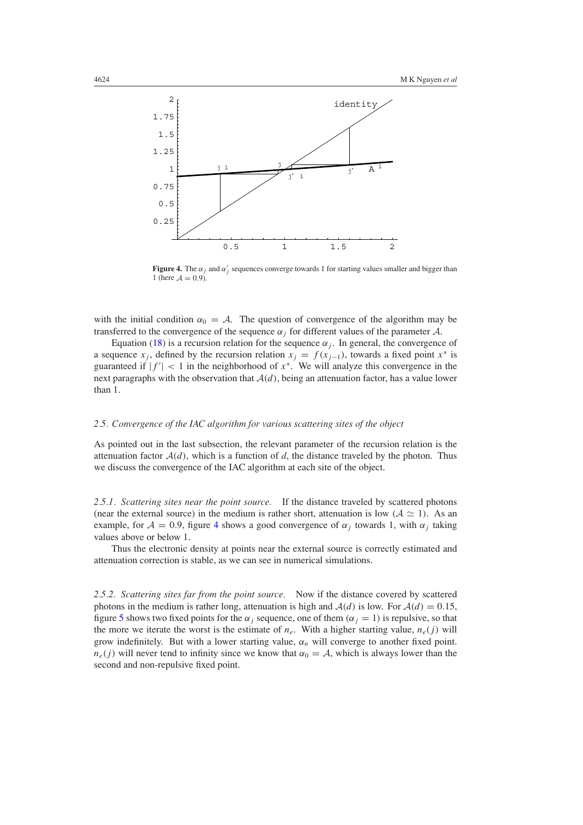

**Figure 4.** The  $\alpha_j$  and  $\alpha'_j$  sequences converge towards 1 for starting values smaller and bigger than 1 (here  $A = 0.9$ ).

with the initial condition  $\alpha_0 = A$ . The question of convergence of the algorithm may be transferred to the convergence of the sequence  $\alpha_i$  for different values of the parameter  $\mathcal{A}$ .

Equation [\(18\)](#page-8-0) is a recursion relation for the sequence  $\alpha_i$ . In general, the convergence of a sequence *x<sub>j</sub>*, defined by the recursion relation  $x_j = f(x_{j-1})$ , towards a fixed point  $x^*$  is guaranteed if  $|f'| < 1$  in the neighborhood of  $x^*$ . We will analyze this convergence in the next paragraphs with the observation that  $A(d)$ , being an attenuation factor, has a value lower than 1.

### *2.5. Convergence of the IAC algorithm for various scattering sites of the object*

As pointed out in the last subsection, the relevant parameter of the recursion relation is the attenuation factor  $A(d)$ , which is a function of d, the distance traveled by the photon. Thus we discuss the convergence of the IAC algorithm at each site of the object.

*2.5.1. Scattering sites near the point source.* If the distance traveled by scattered photons (near the external source) in the medium is rather short, attenuation is low  $(A \simeq 1)$ . As an example, for  $A = 0.9$ , figure 4 shows a good convergence of  $\alpha_i$  towards 1, with  $\alpha_i$  taking values above or below 1.

Thus the electronic density at points near the external source is correctly estimated and attenuation correction is stable, as we can see in numerical simulations.

*2.5.2. Scattering sites far from the point source.* Now if the distance covered by scattered photons in the medium is rather long, attenuation is high and  $A(d)$  is low. For  $A(d) = 0.15$ , figure [5](#page-10-0) shows two fixed points for the  $\alpha_j$  sequence, one of them  $(\alpha_j = 1)$  is repulsive, so that the more we iterate the worst is the estimate of  $n_e$ . With a higher starting value,  $n_e(j)$  will grow indefinitely. But with a lower starting value,  $\alpha_n$  will converge to another fixed point.  $n_e(j)$  will never tend to infinity since we know that  $\alpha_0 = A$ , which is always lower than the second and non-repulsive fixed point.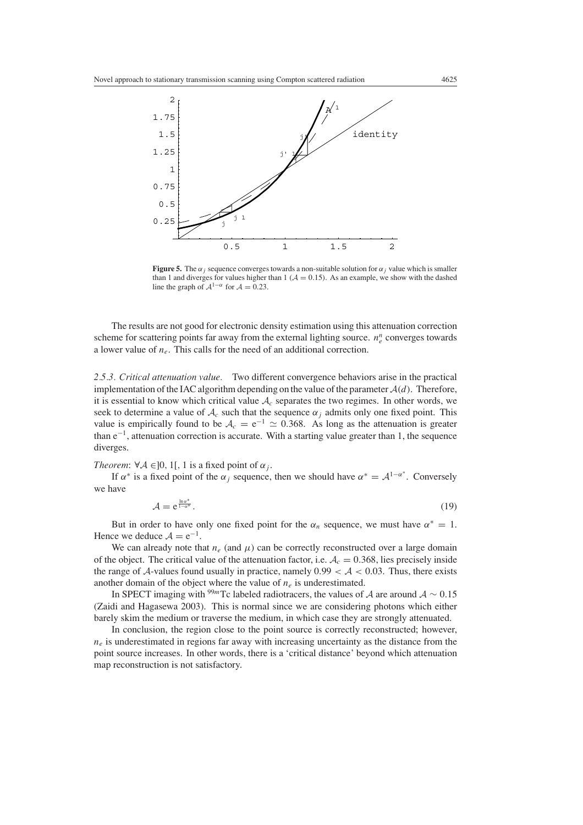<span id="page-10-0"></span>

**Figure 5.** The  $\alpha_j$  sequence converges towards a non-suitable solution for  $\alpha_j$  value which is smaller than 1 and diverges for values higher than 1 ( $A = 0.15$ ). As an example, we show with the dashed line the graph of  $A^{1-\alpha}$  for  $A = 0.23$ .

The results are not good for electronic density estimation using this attenuation correction scheme for scattering points far away from the external lighting source.  $n_e^n$  converges towards a lower value of *ne*. This calls for the need of an additional correction.

*2.5.3. Critical attenuation value.* Two different convergence behaviors arise in the practical implementation of the IAC algorithm depending on the value of the parameter  $A(d)$ . Therefore, it is essential to know which critical value  $A_c$  separates the two regimes. In other words, we seek to determine a value of  $A_c$  such that the sequence  $\alpha_i$  admits only one fixed point. This value is empirically found to be  $A_c = e^{-1} \approx 0.368$ . As long as the attenuation is greater than e−1, attenuation correction is accurate. With a starting value greater than 1, the sequence diverges.

*Theorem*:  $\forall A \in ]0, 1[, 1$  is a fixed point of  $\alpha_j$ .

If  $\alpha^*$  is a fixed point of the  $\alpha_j$  sequence, then we should have  $\alpha^* = \mathcal{A}^{1-\alpha^*}$ . Conversely we have

$$
\mathcal{A} = e^{\frac{\ln \sigma^*}{1 - \sigma^*}}.
$$
\n(19)

But in order to have only one fixed point for the  $\alpha_n$  sequence, we must have  $\alpha^* = 1$ . Hence we deduce  $A = e^{-1}$ .

We can already note that  $n_e$  (and  $\mu$ ) can be correctly reconstructed over a large domain of the object. The critical value of the attenuation factor, i.e.  $A_c = 0.368$ , lies precisely inside the range of A-values found usually in practice, namely  $0.99 < A < 0.03$ . Thus, there exists another domain of the object where the value of  $n_e$  is underestimated.

In SPECT imaging with <sup>99*m*</sup>Tc labeled radiotracers, the values of A are around  $A \sim 0.15$ (Zaidi and Hagasewa 2003). This is normal since we are considering photons which either barely skim the medium or traverse the medium, in which case they are strongly attenuated.

In conclusion, the region close to the point source is correctly reconstructed; however,  $n_e$  is underestimated in regions far away with increasing uncertainty as the distance from the point source increases. In other words, there is a 'critical distance' beyond which attenuation map reconstruction is not satisfactory.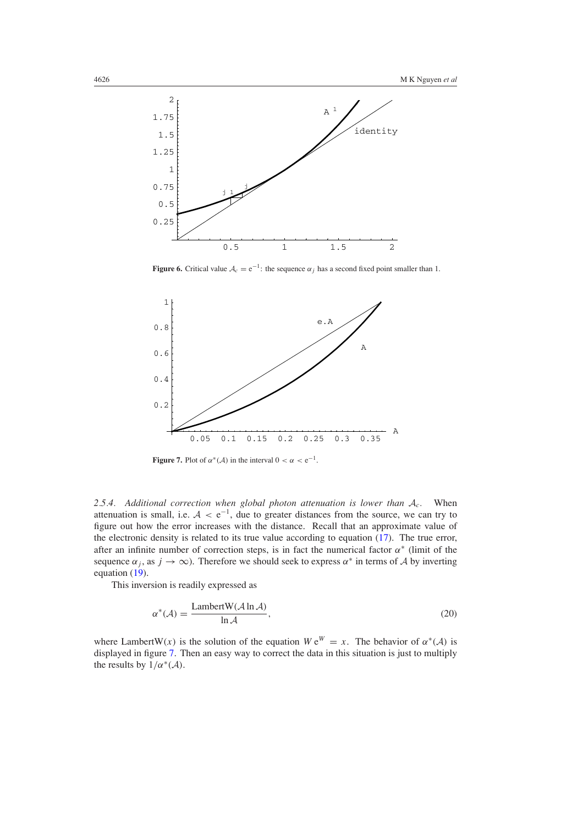

**Figure 6.** Critical value  $A_c = e^{-1}$ : the sequence  $\alpha_j$  has a second fixed point smaller than 1.



**Figure 7.** Plot of  $\alpha^*(\mathcal{A})$  in the interval  $0 < \alpha < e^{-1}$ .

*2.5.4. Additional correction when global photon attenuation is lower than* A*c.* When attenuation is small, i.e. <sup>A</sup> *<sup>&</sup>lt;* <sup>e</sup>−1, due to greater distances from the source, we can try to figure out how the error increases with the distance. Recall that an approximate value of the electronic density is related to its true value according to equation [\(17\)](#page-8-0). The true error, after an infinite number of correction steps, is in fact the numerical factor  $\alpha^*$  (limit of the sequence  $\alpha_j$ , as  $j \to \infty$ ). Therefore we should seek to express  $\alpha^*$  in terms of A by inverting equation [\(19\)](#page-10-0).

This inversion is readily expressed as

$$
\alpha^*(\mathcal{A}) = \frac{\text{LambertW}(\mathcal{A} \ln \mathcal{A})}{\ln \mathcal{A}},\tag{20}
$$

where LambertW(x) is the solution of the equation  $W e^{W} = x$ . The behavior of  $\alpha^*(A)$  is displayed in figure 7. Then an easy way to correct the data in this situation is just to multiply the results by  $1/\alpha^*(\mathcal{A})$ .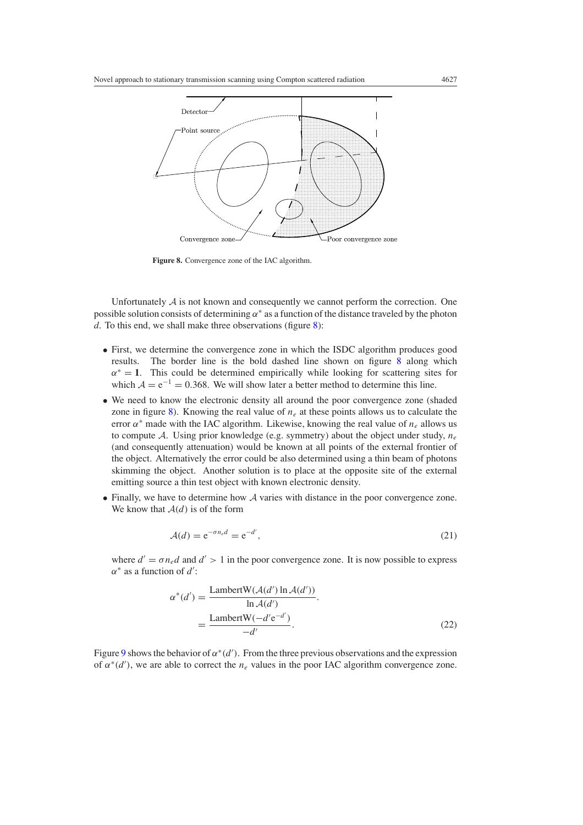<span id="page-12-0"></span>

**Figure 8.** Convergence zone of the IAC algorithm.

Unfortunately  $A$  is not known and consequently we cannot perform the correction. One possible solution consists of determining  $\alpha^*$  as a function of the distance traveled by the photon *d*. To this end, we shall make three observations (figure 8):

- First, we determine the convergence zone in which the ISDC algorithm produces good results. The border line is the bold dashed line shown on figure 8 along which  $\alpha$ <sup>\*</sup> = 1. This could be determined empirically while looking for scattering sites for which  $A = e^{-1} = 0.368$ . We will show later a better method to determine this line.
- We need to know the electronic density all around the poor convergence zone (shaded zone in figure 8). Knowing the real value of *ne* at these points allows us to calculate the error  $\alpha^*$  made with the IAC algorithm. Likewise, knowing the real value of  $n_e$  allows us to compute A. Using prior knowledge (e.g. symmetry) about the object under study, *ne* (and consequently attenuation) would be known at all points of the external frontier of the object. Alternatively the error could be also determined using a thin beam of photons skimming the object. Another solution is to place at the opposite site of the external emitting source a thin test object with known electronic density.
- Finally, we have to determine how A varies with distance in the poor convergence zone. We know that  $A(d)$  is of the form

$$
\mathcal{A}(d) = e^{-\sigma n_e d} = e^{-d'},\tag{21}
$$

where  $d' = \sigma n_e d$  and  $d' > 1$  in the poor convergence zone. It is now possible to express *α*<sup>\*</sup> as a function of *d*':

$$
\alpha^*(d') = \frac{\text{LambertW}(\mathcal{A}(d') \ln \mathcal{A}(d'))}{\ln \mathcal{A}(d')}
$$

$$
= \frac{\text{LambertW}(-d'e^{-d'})}{-d'}.
$$
(22)

Figure [9](#page-13-0) shows the behavior of  $\alpha^*(d')$ . From the three previous observations and the expression of  $\alpha^*(d')$ , we are able to correct the  $n_e$  values in the poor IAC algorithm convergence zone.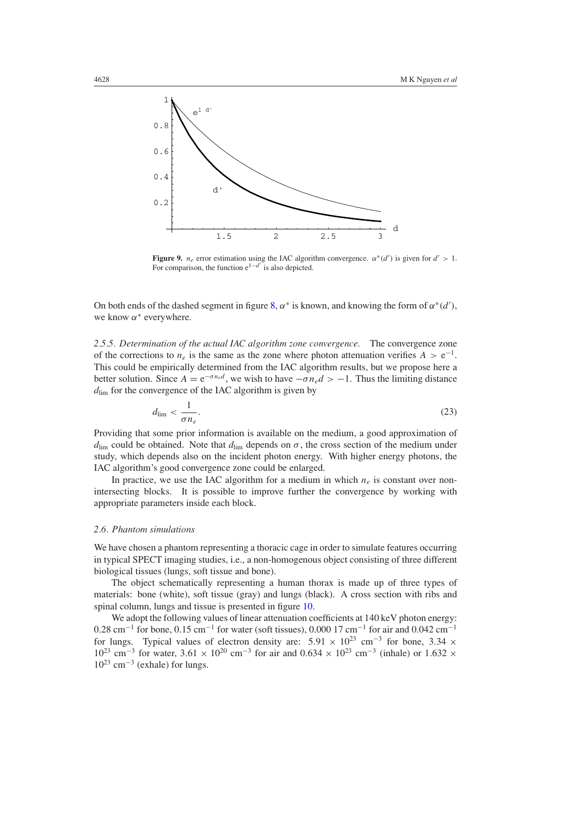<span id="page-13-0"></span>

**Figure 9.**  $n_e$  error estimation using the IAC algorithm convergence.  $\alpha^*(d')$  is given for  $d' > 1$ . For comparison, the function  $e^{1-d'}$  is also depicted.

On both ends of the dashed segment in figure [8,](#page-12-0)  $\alpha^*$  is known, and knowing the form of  $\alpha^*(d')$ , we know *α*<sup>∗</sup> everywhere.

*2.5.5. Determination of the actual IAC algorithm zone convergence.* The convergence zone of the corrections to  $n_e$  is the same as the zone where photon attenuation verifies  $A > e^{-1}$ . This could be empirically determined from the IAC algorithm results, but we propose here a better solution. Since  $A = e^{-\sigma n_e d}$ , we wish to have  $-\sigma n_e d > -1$ . Thus the limiting distance  $d_{\text{lim}}$  for the convergence of the IAC algorithm is given by

$$
d_{\lim} < \frac{1}{\sigma n_e}.\tag{23}
$$

Providing that some prior information is available on the medium, a good approximation of *d*<sub>lim</sub> could be obtained. Note that  $d_{\text{lim}}$  depends on  $\sigma$ , the cross section of the medium under study, which depends also on the incident photon energy. With higher energy photons, the IAC algorithm's good convergence zone could be enlarged.

In practice, we use the IAC algorithm for a medium in which  $n_e$  is constant over nonintersecting blocks. It is possible to improve further the convergence by working with appropriate parameters inside each block.

#### *2.6. Phantom simulations*

We have chosen a phantom representing a thoracic cage in order to simulate features occurring in typical SPECT imaging studies, i.e., a non-homogenous object consisting of three different biological tissues (lungs, soft tissue and bone).

The object schematically representing a human thorax is made up of three types of materials: bone (white), soft tissue (gray) and lungs (black). A cross section with ribs and spinal column, lungs and tissue is presented in figure [10.](#page-14-0)

We adopt the following values of linear attenuation coefficients at 140 keV photon energy:  $0.28 \text{ cm}^{-1}$  for bone,  $0.15 \text{ cm}^{-1}$  for water (soft tissues),  $0.00017 \text{ cm}^{-1}$  for air and  $0.042 \text{ cm}^{-1}$ for lungs. Typical values of electron density are:  $5.91 \times 10^{23}$  cm<sup>-3</sup> for bone,  $3.34 \times$  $10^{23}$  cm<sup>-3</sup> for water,  $3.61 \times 10^{20}$  cm<sup>-3</sup> for air and  $0.634 \times 10^{23}$  cm<sup>-3</sup> (inhale) or  $1.632 \times$  $10^{23}$  cm<sup>-3</sup> (exhale) for lungs.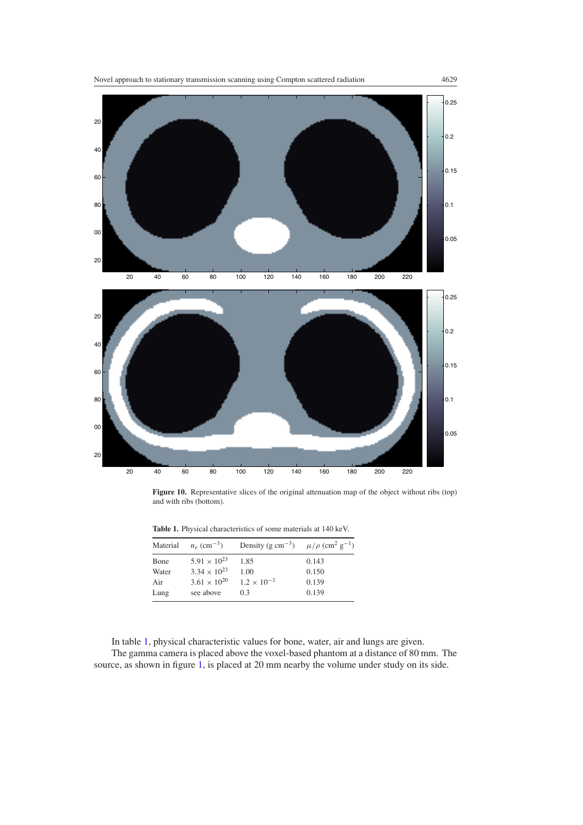<span id="page-14-0"></span>

**Figure 10.** Representative slices of the original attenuation map of the object without ribs (top) and with ribs (bottom).

**Table 1.** Physical characteristics of some materials at 140 keV.

| Material | $n_e$ (cm <sup>-3</sup> ) | Density (g cm <sup>-3</sup> ) $\mu/\rho$ (cm <sup>2</sup> g <sup>-1</sup> ) |       |
|----------|---------------------------|-----------------------------------------------------------------------------|-------|
| Bone     | $5.91 \times 10^{23}$     | 1.85                                                                        | 0.143 |
| Water    | $3.34 \times 10^{23}$     | 1.00                                                                        | 0.150 |
| Air      | $3.61 \times 10^{20}$     | $1.2 \times 10^{-3}$                                                        | 0.139 |
| Lung     | see above                 | 0.3                                                                         | 0.139 |

In table 1, physical characteristic values for bone, water, air and lungs are given. The gamma camera is placed above the voxel-based phantom at a distance of 80 mm. The source, as shown in figure [1,](#page-4-0) is placed at 20 mm nearby the volume under study on its side.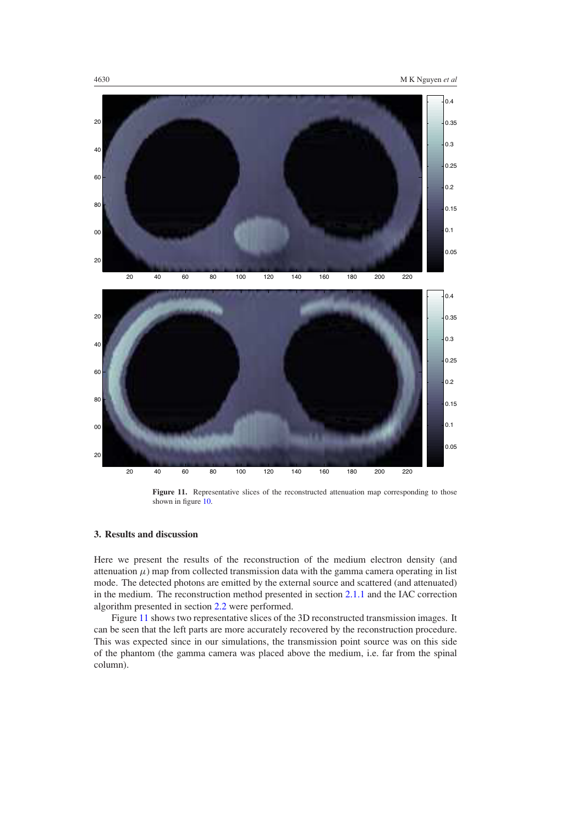

Figure 11. Representative slices of the reconstructed attenuation map corresponding to those shown in figure [10.](#page-14-0)

# **3. Results and discussion**

Here we present the results of the reconstruction of the medium electron density (and attenuation  $\mu$ ) map from collected transmission data with the gamma camera operating in list mode. The detected photons are emitted by the external source and scattered (and attenuated) in the medium. The reconstruction method presented in section [2.1.1](#page-3-0) and the IAC correction algorithm presented in section [2.2](#page-4-0) were performed.

Figure 11 shows two representative slices of the 3D reconstructed transmission images. It can be seen that the left parts are more accurately recovered by the reconstruction procedure. This was expected since in our simulations, the transmission point source was on this side of the phantom (the gamma camera was placed above the medium, i.e. far from the spinal column).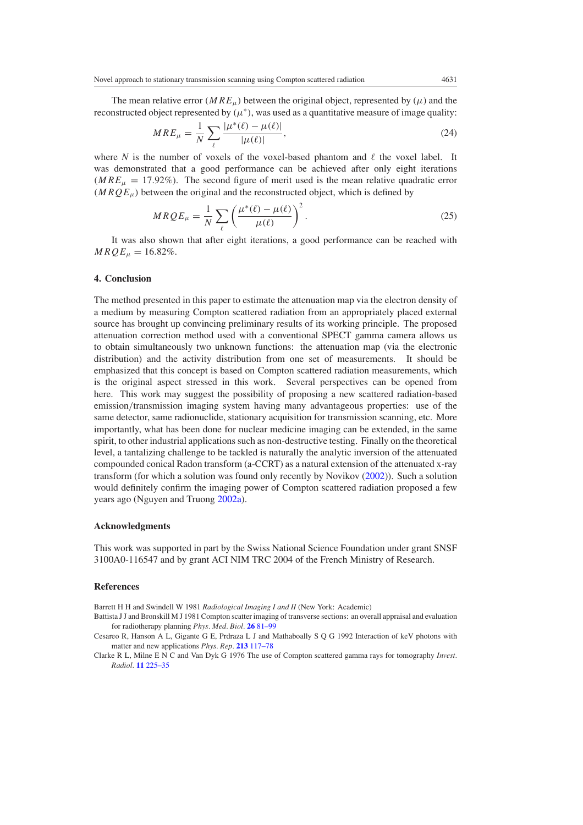<span id="page-16-0"></span>The mean relative error *(MRE<sub>µ</sub>)* between the original object, represented by  $(\mu)$  and the reconstructed object represented by  $(\mu^*)$ , was used as a quantitative measure of image quality:

$$
MRE_{\mu} = \frac{1}{N} \sum_{\ell} \frac{|\mu^*(\ell) - \mu(\ell)|}{|\mu(\ell)|},\tag{24}
$$

where *N* is the number of voxels of the voxel-based phantom and  $\ell$  the voxel label. It was demonstrated that a good performance can be achieved after only eight iterations  $(MRE<sub>u</sub> = 17.92%)$ . The second figure of merit used is the mean relative quadratic error  $(MRQE<sub>u</sub>)$  between the original and the reconstructed object, which is defined by

$$
MRQE_{\mu} = \frac{1}{N} \sum_{\ell} \left( \frac{\mu^*(\ell) - \mu(\ell)}{\mu(\ell)} \right)^2.
$$
 (25)

It was also shown that after eight iterations, a good performance can be reached with  $MRQE_{\mu} = 16.82\%.$ 

#### **4. Conclusion**

The method presented in this paper to estimate the attenuation map via the electron density of a medium by measuring Compton scattered radiation from an appropriately placed external source has brought up convincing preliminary results of its working principle. The proposed attenuation correction method used with a conventional SPECT gamma camera allows us to obtain simultaneously two unknown functions: the attenuation map (via the electronic distribution) and the activity distribution from one set of measurements. It should be emphasized that this concept is based on Compton scattered radiation measurements, which is the original aspect stressed in this work. Several perspectives can be opened from here. This work may suggest the possibility of proposing a new scattered radiation-based emission*/*transmission imaging system having many advantageous properties: use of the same detector, same radionuclide, stationary acquisition for transmission scanning, etc. More importantly, what has been done for nuclear medicine imaging can be extended, in the same spirit, to other industrial applications such as non-destructive testing. Finally on the theoretical level, a tantalizing challenge to be tackled is naturally the analytic inversion of the attenuated compounded conical Radon transform (a-CCRT) as a natural extension of the attenuated x-ray transform (for which a solution was found only recently by Novikov [\(2002\)](#page-17-0)). Such a solution would definitely confirm the imaging power of Compton scattered radiation proposed a few years ago (Nguyen and Truong [2002a](#page-17-0)).

#### **Acknowledgments**

This work was supported in part by the Swiss National Science Foundation under grant SNSF 3100A0-116547 and by grant ACI NIM TRC 2004 of the French Ministry of Research.

#### **References**

Barrett H H and Swindell W 1981 *Radiological Imaging I and II* (New York: Academic)

Battista J J and Bronskill M J 1981 Compton scatter imaging of transverse sections: an overall appraisal and evaluation for radiotherapy planning *Phys. Med. Biol.* **26** [81–99](http://dx.doi.org/10.1088/0031-9155/26/1/009)

Cesareo R, Hanson A L, Gigante G E, Prdraza L J and Mathaboally S Q G 1992 Interaction of keV photons with matter and new applications *Phys. Rep.* **213** [117–78](http://dx.doi.org/10.1016/0370-1573(92)90086-F)

Clarke R L, Milne E N C and Van Dyk G 1976 The use of Compton scattered gamma rays for tomography *Invest. Radiol.* **11** [225–35](http://dx.doi.org/10.1097/00004424-197605000-00011)